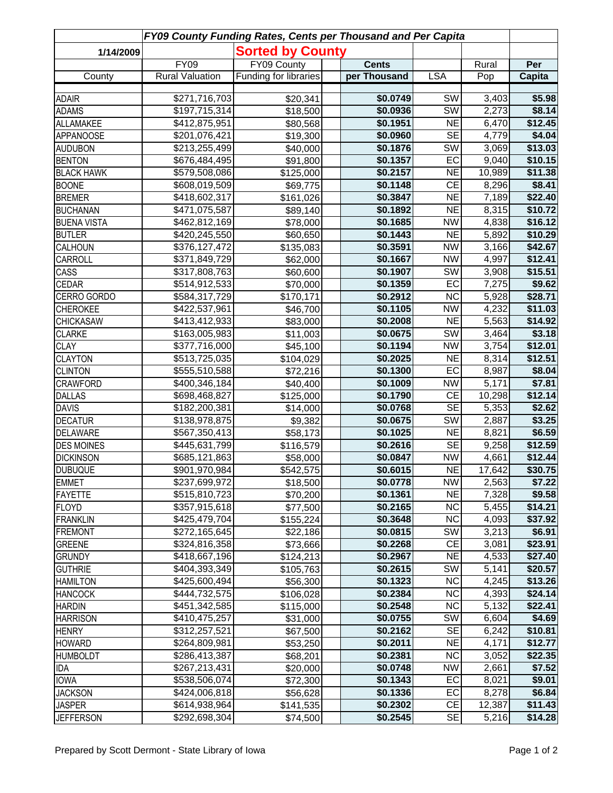| FY09 County Funding Rates, Cents per Thousand and Per Capita |                                |                         |  |                      |                        |                 |                    |  |  |  |
|--------------------------------------------------------------|--------------------------------|-------------------------|--|----------------------|------------------------|-----------------|--------------------|--|--|--|
| 1/14/2009                                                    |                                | <b>Sorted by County</b> |  |                      |                        |                 |                    |  |  |  |
|                                                              | <b>FY09</b>                    | FY09 County             |  | <b>Cents</b>         |                        | Rural           | Per                |  |  |  |
| County                                                       | <b>Rural Valuation</b>         | Funding for libraries   |  | per Thousand         | <b>LSA</b>             | Pop             | Capita             |  |  |  |
| <b>ADAIR</b>                                                 | \$271,716,703                  | \$20,341                |  | \$0.0749             | SW                     | 3,403           | \$5.98             |  |  |  |
| <b>ADAMS</b>                                                 | \$197,715,314                  | \$18,500                |  | \$0.0936             | SW                     | 2,273           | \$8.14             |  |  |  |
| ALLAMAKEE                                                    | \$412,875,951                  | \$80,568                |  | \$0.1951             | N <sub>E</sub>         | 6,470           | \$12.45            |  |  |  |
| <b>APPANOOSE</b>                                             | \$201,076,421                  | \$19,300                |  | \$0.0960             | <b>SE</b>              | 4,779           | \$4.04             |  |  |  |
| <b>AUDUBON</b>                                               | \$213,255,499                  | \$40,000                |  | \$0.1876             | SW                     | 3,069           | \$13.03            |  |  |  |
| <b>BENTON</b>                                                | \$676,484,495                  | \$91,800                |  | \$0.1357             | EC                     | 9,040           | \$10.15            |  |  |  |
| <b>BLACK HAWK</b>                                            | \$579,508,086                  | \$125,000               |  | \$0.2157             | N <sub>E</sub>         | 10,989          | \$11.38            |  |  |  |
| <b>BOONE</b>                                                 | \$608,019,509                  | \$69,775                |  | \$0.1148             | CE                     | 8,296           | \$8.41             |  |  |  |
| <b>BREMER</b>                                                | \$418,602,317                  | \$161,026               |  | \$0.3847             | <b>NE</b>              | 7,189           | \$22.40            |  |  |  |
| <b>BUCHANAN</b>                                              | \$471,075,587                  | \$89,140                |  | \$0.1892             | N <sub>E</sub>         | 8,315           | \$10.72            |  |  |  |
| <b>BUENA VISTA</b>                                           | \$462,812,169                  | \$78,000                |  | \$0.1685             | <b>NW</b>              | 4,838           | \$16.12            |  |  |  |
| <b>BUTLER</b>                                                | \$420,245,550                  | \$60,650                |  | \$0.1443             | <b>NE</b>              | 5,892           | \$10.29            |  |  |  |
| CALHOUN                                                      | \$376,127,472                  | \$135,083               |  | \$0.3591             | <b>NW</b>              | 3,166           | \$42.67            |  |  |  |
| CARROLL                                                      | \$371,849,729                  | \$62,000                |  | \$0.1667             | <b>NW</b>              | 4,997           | \$12.41            |  |  |  |
| CASS                                                         | \$317,808,763                  | \$60,600                |  | \$0.1907             | <b>SW</b>              | 3,908           | \$15.51            |  |  |  |
| <b>CEDAR</b>                                                 | \$514,912,533                  | \$70,000                |  | \$0.1359             | EC                     | 7,275           | \$9.62             |  |  |  |
| CERRO GORDO                                                  | \$584,317,729                  | \$170,171               |  | \$0.2912             | $\overline{\text{NC}}$ | 5,928           | \$28.71            |  |  |  |
| <b>CHEROKEE</b>                                              | \$422,537,961                  | \$46,700                |  | \$0.1105             | <b>NW</b>              | 4,232           | \$11.03            |  |  |  |
| <b>CHICKASAW</b>                                             | \$413,412,933                  | \$83,000                |  | \$0.2008             | NE                     | 5,563           | \$14.92            |  |  |  |
| <b>CLARKE</b>                                                | \$163,005,983                  | \$11,003                |  | \$0.0675             | $\overline{\text{SW}}$ | 3,464           | \$3.18             |  |  |  |
| <b>CLAY</b>                                                  | \$377,716,000                  | \$45,100                |  | \$0.1194             | NW                     | 3,754           | \$12.01            |  |  |  |
| <b>CLAYTON</b>                                               | \$513,725,035                  | \$104,029               |  | \$0.2025             | NE                     | 8,314           | \$12.51            |  |  |  |
| <b>CLINTON</b>                                               | \$555,510,588                  | \$72,216                |  | \$0.1300             | EC                     | 8,987           | \$8.04             |  |  |  |
| <b>CRAWFORD</b>                                              | \$400,346,184                  | \$40,400                |  | \$0.1009             | NW                     | 5,171           | \$7.81             |  |  |  |
| <b>DALLAS</b>                                                | \$698,468,827                  | \$125,000               |  | \$0.1790             | CE                     | 10,298          | \$12.14            |  |  |  |
| <b>DAVIS</b>                                                 | \$182,200,381                  | \$14,000                |  | \$0.0768             | SE                     | 5,353           | \$2.62             |  |  |  |
| <b>DECATUR</b>                                               | \$138,978,875                  | \$9,382                 |  | \$0.0675             | $\overline{\text{SW}}$ | 2,887           | \$3.25             |  |  |  |
| <b>DELAWARE</b>                                              | \$567,350,413                  | \$58,173                |  | \$0.1025             | N <sub>E</sub>         | 8,821           | \$6.59             |  |  |  |
| <b>DES MOINES</b>                                            | \$445,631,799                  | \$116,579               |  | \$0.2616             | <b>SE</b>              | 9,258           | \$12.59            |  |  |  |
| <b>DICKINSON</b>                                             | \$685,121,863                  | \$58,000                |  | \$0.0847             | NW<br>NE               | 4,661<br>17,642 | \$12.44<br>\$30.75 |  |  |  |
| <b>DUBUQUE</b>                                               | \$901,970,984                  | \$542,575               |  | \$0.6015             | <b>NW</b>              |                 |                    |  |  |  |
| <b>EMMET</b><br><b>FAYETTE</b>                               | \$237,699,972<br>\$515,810,723 | \$18,500<br>\$70,200    |  | \$0.0778<br>\$0.1361 | <b>NE</b>              | 2,563<br>7,328  | \$7.22<br>\$9.58   |  |  |  |
| <b>FLOYD</b>                                                 | \$357,915,618                  | \$77,500                |  | \$0.2165             | NC                     | 5,455           | \$14.21            |  |  |  |
| <b>FRANKLIN</b>                                              | \$425,479,704                  | \$155,224               |  | \$0.3648             | <b>NC</b>              | 4,093           | \$37.92            |  |  |  |
| <b>FREMONT</b>                                               | \$272,165,645                  | \$22,186                |  | \$0.0815             | SW                     | 3,213           | \$6.91             |  |  |  |
| <b>GREENE</b>                                                | \$324,816,358                  | \$73,666                |  | \$0.2268             | CE                     | 3,081           | \$23.91            |  |  |  |
| <b>GRUNDY</b>                                                | \$418,667,196                  | \$124,213               |  | \$0.2967             | <b>NE</b>              | 4,533           | \$27.40            |  |  |  |
| <b>GUTHRIE</b>                                               | \$404,393,349                  | \$105,763               |  | \$0.2615             | SW                     | 5,141           | \$20.57            |  |  |  |
| <b>HAMILTON</b>                                              | \$425,600,494                  | \$56,300                |  | \$0.1323             | <b>NC</b>              | 4,245           | \$13.26            |  |  |  |
| <b>HANCOCK</b>                                               | \$444,732,575                  | \$106,028               |  | \$0.2384             | <b>NC</b>              | 4,393           | \$24.14            |  |  |  |
| <b>HARDIN</b>                                                | \$451,342,585                  | \$115,000               |  | \$0.2548             | <b>NC</b>              | 5,132           | \$22.41            |  |  |  |
| <b>HARRISON</b>                                              | \$410,475,257                  | \$31,000                |  | \$0.0755             | SW                     | 6,604           | \$4.69             |  |  |  |
| <b>HENRY</b>                                                 | \$312,257,521                  | \$67,500                |  | \$0.2162             | <b>SE</b>              | 6,242           | \$10.81            |  |  |  |
| <b>HOWARD</b>                                                | \$264,809,981                  | \$53,250                |  | \$0.2011             | <b>NE</b>              | 4,171           | \$12.77            |  |  |  |
| <b>HUMBOLDT</b>                                              | \$286,413,387                  | \$68,201                |  | \$0.2381             | <b>NC</b>              | 3,052           | \$22.35            |  |  |  |
| IDA                                                          | \$267,213,431                  | \$20,000                |  | \$0.0748             | <b>NW</b>              | 2,661           | \$7.52             |  |  |  |
| <b>IOWA</b>                                                  | \$538,506,074                  | \$72,300                |  | \$0.1343             | EC                     | 8,021           | \$9.01             |  |  |  |
| <b>JACKSON</b>                                               | \$424,006,818                  | \$56,628                |  | \$0.1336             | EC                     | 8,278           | \$6.84             |  |  |  |
| <b>JASPER</b>                                                | \$614,938,964                  | \$141,535               |  | \$0.2302             | CE                     | 12,387          | \$11.43            |  |  |  |
| <b>JEFFERSON</b>                                             | \$292,698,304                  | \$74,500                |  | \$0.2545             | <b>SE</b>              | 5,216           | \$14.28            |  |  |  |